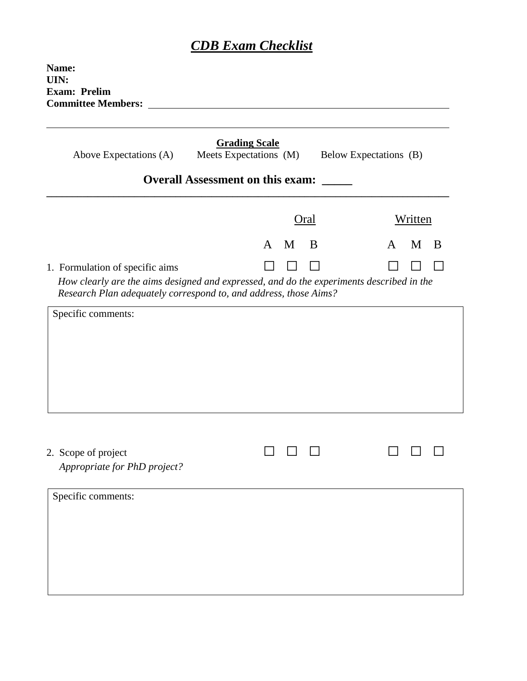## *CDB Exam Checklist*

| Name:<br>UIN:<br><b>Exam: Prelim</b><br><b>Committee Members:</b>                                                                                                                               |                                                |      |   |                        |
|-------------------------------------------------------------------------------------------------------------------------------------------------------------------------------------------------|------------------------------------------------|------|---|------------------------|
| Above Expectations (A)                                                                                                                                                                          | <b>Grading Scale</b><br>Meets Expectations (M) |      |   | Below Expectations (B) |
|                                                                                                                                                                                                 | <b>Overall Assessment on this exam:</b>        |      |   |                        |
|                                                                                                                                                                                                 |                                                | Oral |   | Written                |
|                                                                                                                                                                                                 | A                                              | M    | B | $M$ B<br>A             |
| 1. Formulation of specific aims<br>How clearly are the aims designed and expressed, and do the experiments described in the<br>Research Plan adequately correspond to, and address, those Aims? |                                                |      |   |                        |
| Specific comments:                                                                                                                                                                              |                                                |      |   |                        |
|                                                                                                                                                                                                 |                                                |      |   |                        |
|                                                                                                                                                                                                 |                                                |      |   |                        |
|                                                                                                                                                                                                 |                                                |      |   |                        |
| 2. Scope of project<br>Appropriate for PhD project?                                                                                                                                             |                                                |      |   |                        |
| Specific comments:                                                                                                                                                                              |                                                |      |   |                        |
|                                                                                                                                                                                                 |                                                |      |   |                        |
|                                                                                                                                                                                                 |                                                |      |   |                        |
|                                                                                                                                                                                                 |                                                |      |   |                        |
|                                                                                                                                                                                                 |                                                |      |   |                        |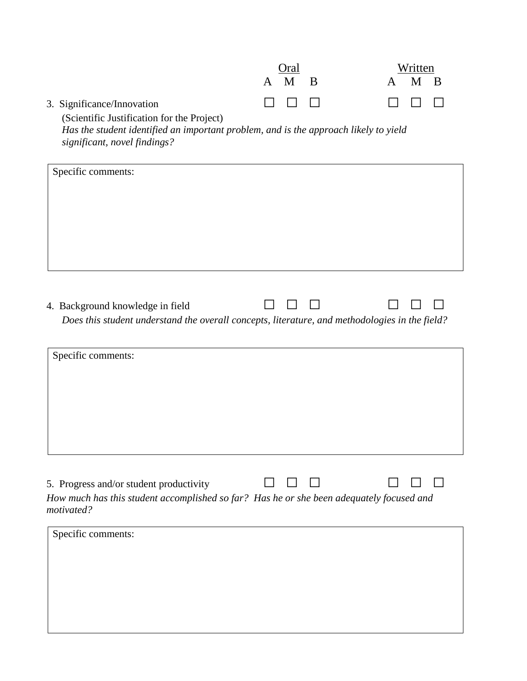|                                                                                                                                                                                                  | A | ()ral<br>M | B | A | Written<br>M | B |
|--------------------------------------------------------------------------------------------------------------------------------------------------------------------------------------------------|---|------------|---|---|--------------|---|
| 3. Significance/Innovation<br>(Scientific Justification for the Project)<br>Has the student identified an important problem, and is the approach likely to yield<br>significant, novel findings? |   |            |   |   |              |   |
| Specific comments:                                                                                                                                                                               |   |            |   |   |              |   |
| 4. Background knowledge in field<br>Does this student understand the overall concepts, literature, and methodologies in the field?                                                               |   |            |   |   |              |   |
| Specific comments:                                                                                                                                                                               |   |            |   |   |              |   |
| 5. Progress and/or student productivity<br>How much has this student accomplished so far? Has he or she been adequately focused and<br>motivated?                                                |   |            |   |   |              |   |
| Specific comments:                                                                                                                                                                               |   |            |   |   |              |   |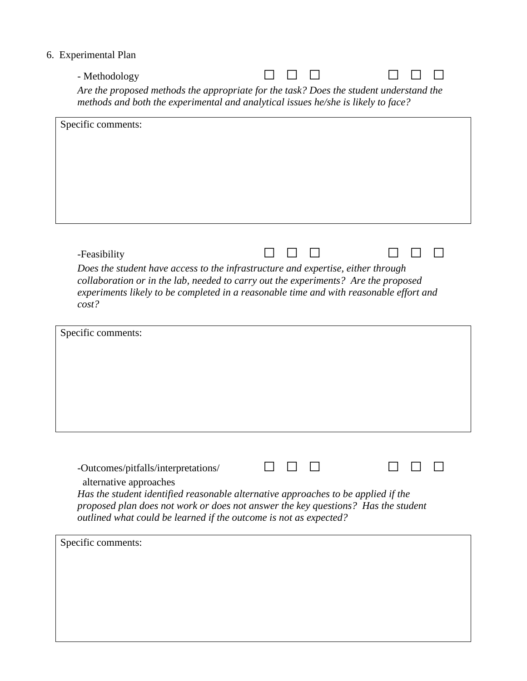## 6. Experimental Plan

| - Methodology | $\begin{array}{ccc} \square & \square & \square \end{array}$ |  | $\begin{array}{ccc} \n\Box & \Box & \Box \n\end{array}$ |  |
|---------------|--------------------------------------------------------------|--|---------------------------------------------------------|--|
|               |                                                              |  |                                                         |  |

*Are the proposed methods the appropriate for the task? Does the student understand the methods and both the experimental and analytical issues he/she is likely to face?*

| Specific comments:                                                                                                                                                                                                                                                                                           |  |
|--------------------------------------------------------------------------------------------------------------------------------------------------------------------------------------------------------------------------------------------------------------------------------------------------------------|--|
|                                                                                                                                                                                                                                                                                                              |  |
| -Feasibility<br>Does the student have access to the infrastructure and expertise, either through<br>collaboration or in the lab, needed to carry out the experiments? Are the proposed<br>experiments likely to be completed in a reasonable time and with reasonable effort and<br>cost?                    |  |
| Specific comments:                                                                                                                                                                                                                                                                                           |  |
| -Outcomes/pitfalls/interpretations/<br>alternative approaches<br>Has the student identified reasonable alternative approaches to be applied if the<br>proposed plan does not work or does not answer the key questions? Has the student<br>outlined what could be learned if the outcome is not as expected? |  |
| Specific comments:                                                                                                                                                                                                                                                                                           |  |